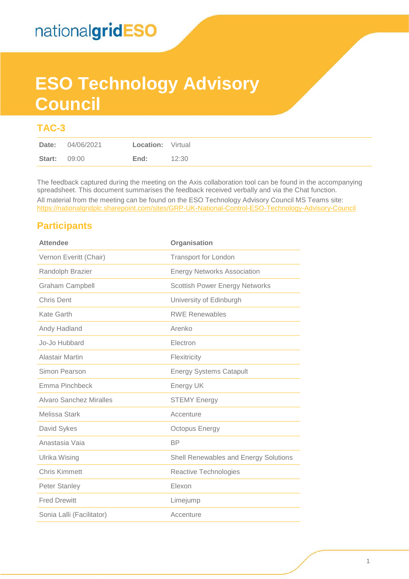# **ESO Technology Advisory Council**

### **TAC-3**

The feedback captured during the meeting on the Axis collaboration tool can be found in the accompanying spreadsheet. This document summarises the feedback received verbally and via the Chat function.

All material from the meeting can be found on the ESO Technology Advisory Council MS Teams site: <https://nationalgridplc.sharepoint.com/sites/GRP-UK-National-Control-ESO-Technology-Advisory-Council>

### **Participants**

| <b>Attendee</b>           | Organisation                          |
|---------------------------|---------------------------------------|
| Vernon Everitt (Chair)    | <b>Transport for London</b>           |
| Randolph Brazier          | <b>Energy Networks Association</b>    |
| <b>Graham Campbell</b>    | <b>Scottish Power Energy Networks</b> |
| <b>Chris Dent</b>         | University of Edinburgh               |
| Kate Garth                | <b>RWE Renewables</b>                 |
| Andy Hadland              | Arenko                                |
| Jo-Jo Hubbard             | Electron                              |
| <b>Alastair Martin</b>    | Flexitricity                          |
| Simon Pearson             | <b>Energy Systems Catapult</b>        |
| Emma Pinchbeck            | Energy UK                             |
| Alvaro Sanchez Miralles   | <b>STEMY Energy</b>                   |
| Melissa Stark             | Accenture                             |
| David Sykes               | Octopus Energy                        |
| Anastasia Vaia            | <b>BP</b>                             |
| <b>Ulrika Wising</b>      | Shell Renewables and Energy Solutions |
| <b>Chris Kimmett</b>      | Reactive Technologies                 |
| <b>Peter Stanley</b>      | Elexon                                |
| <b>Fred Drewitt</b>       | Limejump                              |
| Sonia Lalli (Facilitator) | Accenture                             |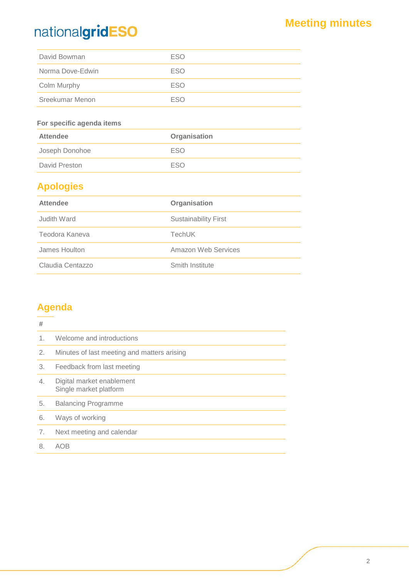## **Meeting minutes**

| David Bowman     | <b>ESO</b> |
|------------------|------------|
| Norma Dove-Edwin | <b>ESO</b> |
| Colm Murphy      | ESO        |
| Sreekumar Menon  | <b>FSO</b> |

#### **For specific agenda items**

| <b>Attendee</b> | Organisation |  |  |
|-----------------|--------------|--|--|
| Joseph Donohoe  | <b>FSO</b>   |  |  |
| David Preston   | <b>FSO</b>   |  |  |

## **Apologies**

| <b>Attendee</b>  | Organisation                |
|------------------|-----------------------------|
| Judith Ward      | <b>Sustainability First</b> |
| Teodora Kaneva   | <b>TechUK</b>               |
| James Houlton    | Amazon Web Services         |
| Claudia Centazzo | Smith Institute             |

## **Agenda**

| #  |                                                     |
|----|-----------------------------------------------------|
| 1. | Welcome and introductions                           |
| 2. | Minutes of last meeting and matters arising         |
| 3. | Feedback from last meeting                          |
| 4. | Digital market enablement<br>Single market platform |
| 5. | <b>Balancing Programme</b>                          |
| 6. | Ways of working                                     |
| 7. | Next meeting and calendar                           |
| 8. | AOB                                                 |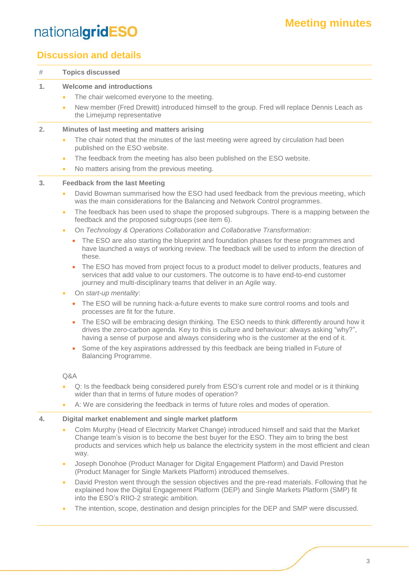## **Meeting minutes**

## nationalgridESO

### **Discussion and details**

| #              | <b>Topics discussed</b>                                                                                                                                                                                                                                                                                                                                                                                                                                                                                                                                                                                                                                                                                                                                                                                                                                                                                                                                                                                                                                                                                                                                                                                                                                                                                                                                                                                                                                                                                                                                                                                |
|----------------|--------------------------------------------------------------------------------------------------------------------------------------------------------------------------------------------------------------------------------------------------------------------------------------------------------------------------------------------------------------------------------------------------------------------------------------------------------------------------------------------------------------------------------------------------------------------------------------------------------------------------------------------------------------------------------------------------------------------------------------------------------------------------------------------------------------------------------------------------------------------------------------------------------------------------------------------------------------------------------------------------------------------------------------------------------------------------------------------------------------------------------------------------------------------------------------------------------------------------------------------------------------------------------------------------------------------------------------------------------------------------------------------------------------------------------------------------------------------------------------------------------------------------------------------------------------------------------------------------------|
| 1.             | <b>Welcome and introductions</b><br>The chair welcomed everyone to the meeting.<br>$\bullet$<br>New member (Fred Drewitt) introduced himself to the group. Fred will replace Dennis Leach as<br>$\bullet$<br>the Limejump representative                                                                                                                                                                                                                                                                                                                                                                                                                                                                                                                                                                                                                                                                                                                                                                                                                                                                                                                                                                                                                                                                                                                                                                                                                                                                                                                                                               |
| 2.             | Minutes of last meeting and matters arising<br>The chair noted that the minutes of the last meeting were agreed by circulation had been<br>$\bullet$<br>published on the ESO website.<br>The feedback from the meeting has also been published on the ESO website.<br>$\bullet$<br>No matters arising from the previous meeting.<br>$\bullet$                                                                                                                                                                                                                                                                                                                                                                                                                                                                                                                                                                                                                                                                                                                                                                                                                                                                                                                                                                                                                                                                                                                                                                                                                                                          |
| 3 <sub>1</sub> | <b>Feedback from the last Meeting</b><br>David Bowman summarised how the ESO had used feedback from the previous meeting, which<br>$\bullet$<br>was the main considerations for the Balancing and Network Control programmes.<br>The feedback has been used to shape the proposed subgroups. There is a mapping between the<br>$\bullet$<br>feedback and the proposed subgroups (see item 6).<br>On Technology & Operations Collaboration and Collaborative Transformation:<br>$\bullet$<br>The ESO are also starting the blueprint and foundation phases for these programmes and<br>$\bullet$<br>have launched a ways of working review. The feedback will be used to inform the direction of<br>these.<br>The ESO has moved from project focus to a product model to deliver products, features and<br>$\bullet$<br>services that add value to our customers. The outcome is to have end-to-end customer<br>journey and multi-disciplinary teams that deliver in an Agile way.<br>On start-up mentality:<br>$\bullet$<br>The ESO will be running hack-a-future events to make sure control rooms and tools and<br>$\bullet$<br>processes are fit for the future.<br>The ESO will be embracing design thinking. The ESO needs to think differently around how it<br>$\bullet$<br>drives the zero-carbon agenda. Key to this is culture and behaviour: always asking "why?",<br>having a sense of purpose and always considering who is the customer at the end of it.<br>Some of the key aspirations addressed by this feedback are being trialled in Future of<br>$\bullet$<br>Balancing Programme. |
|                | Q&A<br>Q: Is the feedback being considered purely from ESO's current role and model or is it thinking<br>$\bullet$<br>wider than that in terms of future modes of operation?<br>A: We are considering the feedback in terms of future roles and modes of operation.<br>$\bullet$                                                                                                                                                                                                                                                                                                                                                                                                                                                                                                                                                                                                                                                                                                                                                                                                                                                                                                                                                                                                                                                                                                                                                                                                                                                                                                                       |
| 4.             | Digital market enablement and single market platform<br>Colm Murphy (Head of Electricity Market Change) introduced himself and said that the Market<br>$\bullet$<br>Change team's vision is to become the best buyer for the ESO. They aim to bring the best<br>products and services which help us balance the electricity system in the most efficient and clean<br>way.<br>Joseph Donohoe (Product Manager for Digital Engagement Platform) and David Preston<br>$\bullet$<br>(Product Manager for Single Markets Platform) introduced themselves.                                                                                                                                                                                                                                                                                                                                                                                                                                                                                                                                                                                                                                                                                                                                                                                                                                                                                                                                                                                                                                                  |

- David Preston went through the session objectives and the pre-read materials. Following that he explained how the Digital Engagement Platform (DEP) and Single Markets Platform (SMP) fit into the ESO's RIIO-2 strategic ambition.
- The intention, scope, destination and design principles for the DEP and SMP were discussed.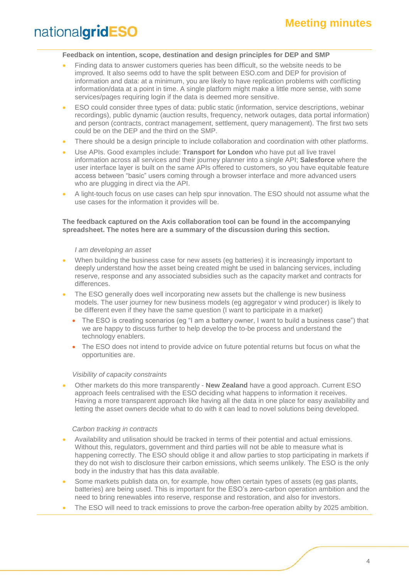#### **Feedback on intention, scope, destination and design principles for DEP and SMP**

- Finding data to answer customers queries has been difficult, so the website needs to be improved*.* It also seems odd to have the split between ESO.com and DEP for provision of information and data: at a minimum, you are likely to have replication problems with conflicting information/data at a point in time. A single platform might make a little more sense, with some services/pages requiring login if the data is deemed more sensitive.
- ESO could consider three types of data: public static (information, service descriptions, webinar recordings), public dynamic (auction results, frequency, network outages, data portal information) and person (contracts, contract management, settlement, query management). The first two sets could be on the DEP and the third on the SMP.
- There should be a design principle to include collaboration and coordination with other platforms.
- Use APIs. Good examples include: **Transport for London** who have put all live travel information across all services and their journey planner into a single API; **Salesforce** where the user interface layer is built on the same APIs offered to customers, so you have equitable feature access between "basic" users coming through a browser interface and more advanced users who are plugging in direct via the API.
- A light-touch focus on use cases can help spur innovation. The ESO should not assume what the use cases for the information it provides will be.

#### **The feedback captured on the Axis collaboration tool can be found in the accompanying spreadsheet. The notes here are a summary of the discussion during this section.**

#### *I am developing an asset*

- When building the business case for new assets (eg batteries) it is increasingly important to deeply understand how the asset being created might be used in balancing services, including reserve, response and any associated subsidies such as the capacity market and contracts for differences.
- The ESO generally does well incorporating new assets but the challenge is new business models. The user journey for new business models (eg aggregator v wind producer) is likely to be different even if they have the same question (I want to participate in a market)
	- The ESO is creating scenarios (eg "I am a battery owner, I want to build a business case") that we are happy to discuss further to help develop the to-be process and understand the technology enablers.
	- The ESO does not intend to provide advice on future potential returns but focus on what the opportunities are.

#### *Visibility of capacity constraints*

• Other markets do this more transparently - **New Zealand** have a good approach. Current ESO approach feels centralised with the ESO deciding what happens to information it receives. Having a more transparent approach like having all the data in one place for easy availability and letting the asset owners decide what to do with it can lead to novel solutions being developed.

#### *Carbon tracking in contracts*

- Availability and utilisation should be tracked in terms of their potential and actual emissions. Without this, regulators, government and third parties will not be able to measure what is happening correctly. The ESO should oblige it and allow parties to stop participating in markets if they do not wish to disclosure their carbon emissions, which seems unlikely. The ESO is the only body in the industry that has this data available.
- Some markets publish data on, for example, how often certain types of assets (eq gas plants, batteries) are being used. This is important for the ESO's zero-carbon operation ambition and the need to bring renewables into reserve, response and restoration, and also for investors.
- The ESO will need to track emissions to prove the carbon-free operation abilty by 2025 ambition.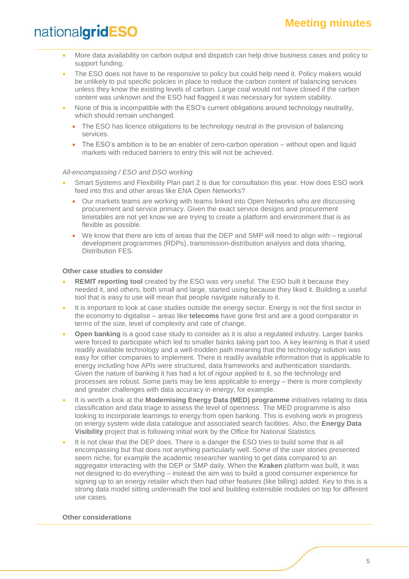- More data availability on carbon output and dispatch can help drive business cases and policy to support funding.
- The ESO does not have to be responsive to policy but could help need it. Policy makers would be unlikely to put specific policies in place to reduce the carbon content of balancing services unless they know the existing levels of carbon. Large coal would not have closed if the carbon content was unknown and the ESO had flagged it was necessary for system stability.
- None of this is incompatible with the ESO's current obligations around technology neutrality, which should remain unchanged.
	- The ESO has licence obligations to be technology neutral in the provision of balancing services.
	- The ESO's ambition is to be an enabler of zero-carbon operation without open and liquid markets with reduced barriers to entry this will not be achieved.

#### *All-encompassing / ESO and DSO working*

- Smart Systems and Flexibility Plan part 2 is due for consultation this year. How does ESO work feed into this and other areas like ENA Open Networks?
	- Our markets teams are working with teams linked into Open Networks who are discussing procurement and service primacy. Given the exact service designs and procurement timetables are not yet know we are trying to create a platform and environment that is as flexible as possible.
	- We know that there are lots of areas that the DEP and SMP will need to align with regional development programmes (RDPs), transmission-distribution analysis and data sharing, Distribution FES.

#### **Other case studies to consider**

- **REMIT reporting tool** created by the ESO was very useful. The ESO built it because they needed it, and others, both small and large, started using because they liked it. Building a useful tool that is easy to use will mean that people navigate naturally to it.
- It is important to look at case studies outside the energy sector. Energy is not the first sector in the economy to digitalise – areas like **telecoms** have gone first and are a good comparator in terms of the size, level of complexity and rate of change.
- **Open banking** is a good case study to consider as it is also a regulated industry. Larger banks were forced to participate which led to smaller banks taking part too. A key learning is that it used readily available technology and a well-trodden path meaning that the technology solution was easy for other companies to implement. There is readily available information that is applicable to energy including how APIs were structured, data frameworks and authentication standards. Given the nature of banking it has had a lot of rigour applied to it, so the technology and processes are robust. Some parts may be less applicable to energy – there is more complexity and greater challenges with data accuracy in energy, for example.
- It is worth a look at the **Modernising Energy Data (MED) programme** initiatives relating to data classification and data triage to assess the level of openness. The MED programme is also looking to incorporate learnings to energy from open banking. This is evolving work in progress on energy system wide data catalogue and associated search facilities. Also, the **Energy Data Visibility** project that is following initial work by the Office for National Statistics.
- It is not clear that the DEP does. There is a danger the ESO tries to build some that is all encompassing but that does not anything particularly well. Some of the user stories presented seem niche, for example the academic researcher wanting to get data compared to an aggregator interacting with the DEP or SMP daily. When the **Kraken** platform was built, it was not designed to do everything – instead the aim was to build a good consumer experience for signing up to an energy retailer which then had other features (like billing) added. Key to this is a strong data model sitting underneath the tool and building extensible modules on top for different use cases.

#### **Other considerations**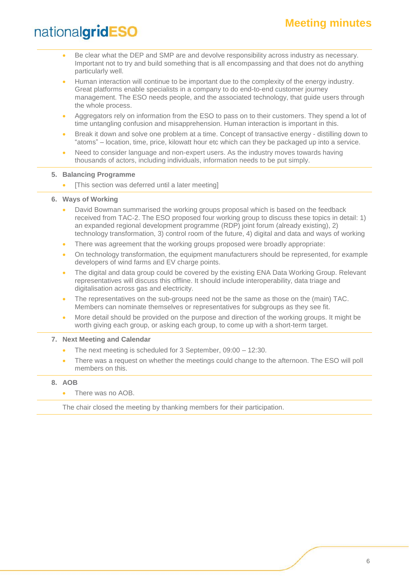## **Meeting minutes**

## nationalgridESO

- Be clear what the DEP and SMP are and devolve responsibility across industry as necessary. Important not to try and build something that is all encompassing and that does not do anything particularly well.
- Human interaction will continue to be important due to the complexity of the energy industry. Great platforms enable specialists in a company to do end-to-end customer journey management. The ESO needs people, and the associated technology, that guide users through the whole process.
- Aggregators rely on information from the ESO to pass on to their customers. They spend a lot of time untangling confusion and misapprehension. Human interaction is important in this.
- Break it down and solve one problem at a time. Concept of transactive energy distilling down to "atoms" – location, time, price, kilowatt hour etc which can they be packaged up into a service.
- Need to consider language and non-expert users. As the industry moves towards having thousands of actors, including individuals, information needs to be put simply.

#### **5. Balancing Programme**

- [This section was deferred until a later meeting]
- **6. Ways of Working**
	- David Bowman summarised the working groups proposal which is based on the feedback received from TAC-2. The ESO proposed four working group to discuss these topics in detail: 1) an expanded regional development programme (RDP) joint forum (already existing), 2) technology transformation, 3) control room of the future, 4) digital and data and ways of working
	- There was agreement that the working groups proposed were broadly appropriate:
	- On technology transformation, the equipment manufacturers should be represented, for example developers of wind farms and EV charge points.
	- The digital and data group could be covered by the existing ENA Data Working Group. Relevant representatives will discuss this offline. It should include interoperability, data triage and digitalisation across gas and electricity.
	- The representatives on the sub-groups need not be the same as those on the (main) TAC. Members can nominate themselves or representatives for subgroups as they see fit.
	- More detail should be provided on the purpose and direction of the working groups. It might be worth giving each group, or asking each group, to come up with a short-term target.

#### **7. Next Meeting and Calendar**

- The next meeting is scheduled for 3 September, 09:00 12:30.
- There was a request on whether the meetings could change to the afternoon. The ESO will poll members on this.

#### **8. AOB**

• There was no AOB.

The chair closed the meeting by thanking members for their participation.